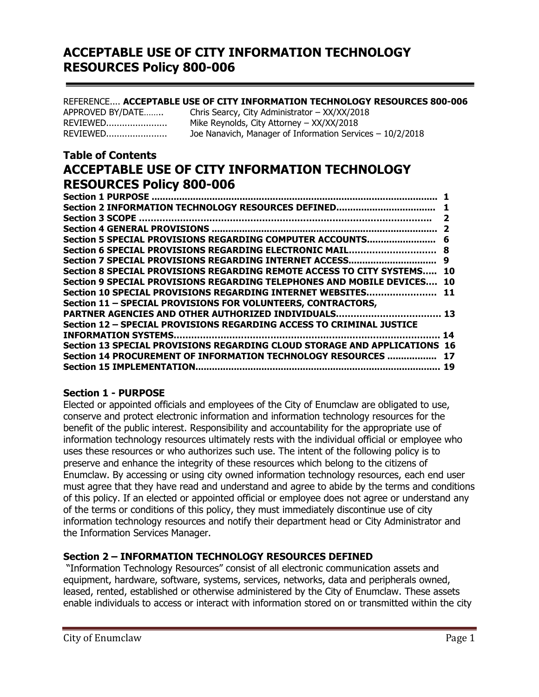### REFERENCE.... **ACCEPTABLE USE OF CITY INFORMATION TECHNOLOGY RESOURCES 800-006**

| APPROVED BY/DATE | Chris Searcy, City Administrator - XX/XX/2018              |
|------------------|------------------------------------------------------------|
| REVIEWED         | Mike Reynolds, City Attorney - XX/XX/2018                  |
| REVIEWED         | Joe Nanavich, Manager of Information Services $-10/2/2018$ |

# **Table of Contents ACCEPTABLE USE OF CITY INFORMATION TECHNOLOGY RESOURCES Policy 800-006**

| Section 6 SPECIAL PROVISIONS REGARDING ELECTRONIC MAIL                    | -8        |
|---------------------------------------------------------------------------|-----------|
| Section 7 SPECIAL PROVISIONS REGARDING INTERNET ACCESS                    | 9         |
| Section 8 SPECIAL PROVISIONS REGARDING REMOTE ACCESS TO CITY SYSTEMS 10   |           |
| Section 9 SPECIAL PROVISIONS REGARDING TELEPHONES AND MOBILE DEVICES      | <b>10</b> |
|                                                                           |           |
| Section 11 - SPECIAL PROVISIONS FOR VOLUNTEERS, CONTRACTORS,              |           |
| PARTNER AGENCIES AND OTHER AUTHORIZED INDIVIDUALS 13                      |           |
| Section 12 - SPECIAL PROVISIONS REGARDING ACCESS TO CRIMINAL JUSTICE      |           |
|                                                                           | 14        |
| Section 13 SPECIAL PROVISIONS REGARDING CLOUD STORAGE AND APPLICATIONS 16 |           |
| Section 14 PROCUREMENT OF INFORMATION TECHNOLOGY RESOURCES  17            |           |
|                                                                           |           |
|                                                                           |           |

### **Section 1 - PURPOSE**

Elected or appointed officials and employees of the City of Enumclaw are obligated to use, conserve and protect electronic information and information technology resources for the benefit of the public interest. Responsibility and accountability for the appropriate use of information technology resources ultimately rests with the individual official or employee who uses these resources or who authorizes such use. The intent of the following policy is to preserve and enhance the integrity of these resources which belong to the citizens of Enumclaw. By accessing or using city owned information technology resources, each end user must agree that they have read and understand and agree to abide by the terms and conditions of this policy. If an elected or appointed official or employee does not agree or understand any of the terms or conditions of this policy, they must immediately discontinue use of city information technology resources and notify their department head or City Administrator and the Information Services Manager.

### **Section 2 – INFORMATION TECHNOLOGY RESOURCES DEFINED**

"Information Technology Resources" consist of all electronic communication assets and equipment, hardware, software, systems, services, networks, data and peripherals owned, leased, rented, established or otherwise administered by the City of Enumclaw. These assets enable individuals to access or interact with information stored on or transmitted within the city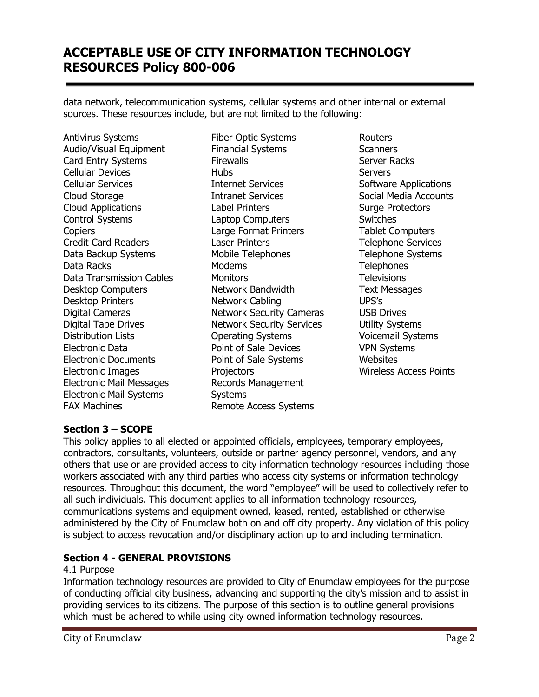data network, telecommunication systems, cellular systems and other internal or external sources. These resources include, but are not limited to the following:

Antivirus Systems Audio/Visual Equipment Card Entry Systems Cellular Devices Cellular Services Cloud Storage Cloud Applications Control Systems **Copiers** Credit Card Readers Data Backup Systems Data Racks Data Transmission Cables Desktop Computers Desktop Printers Digital Cameras Digital Tape Drives Distribution Lists Electronic Data Electronic Documents Electronic Images Electronic Mail Messages Electronic Mail Systems FAX Machines

Fiber Optic Systems Financial Systems **Firewalls** Hubs Internet Services Intranet Services Label Printers Laptop Computers Large Format Printers Laser Printers Mobile Telephones Modems **Monitors** Network Bandwidth Network Cabling Network Security Cameras Network Security Services Operating Systems Point of Sale Devices Point of Sale Systems **Projectors** Records Management **Systems** Remote Access Systems

Routers **Scanners** Server Racks **Servers** Software Applications Social Media Accounts Surge Protectors Switches Tablet Computers Telephone Services Telephone Systems **Telephones Televisions** Text Messages UPS's USB Drives Utility Systems Voicemail Systems VPN Systems **Websites** Wireless Access Points

# **Section 3 – SCOPE**

This policy applies to all elected or appointed officials, employees, temporary employees, contractors, consultants, volunteers, outside or partner agency personnel, vendors, and any others that use or are provided access to city information technology resources including those workers associated with any third parties who access city systems or information technology resources. Throughout this document, the word "employee" will be used to collectively refer to all such individuals. This document applies to all information technology resources, communications systems and equipment owned, leased, rented, established or otherwise administered by the City of Enumclaw both on and off city property. Any violation of this policy is subject to access revocation and/or disciplinary action up to and including termination.

### **Section 4 - GENERAL PROVISIONS**

### 4.1 Purpose

Information technology resources are provided to City of Enumclaw employees for the purpose of conducting official city business, advancing and supporting the city's mission and to assist in providing services to its citizens. The purpose of this section is to outline general provisions which must be adhered to while using city owned information technology resources.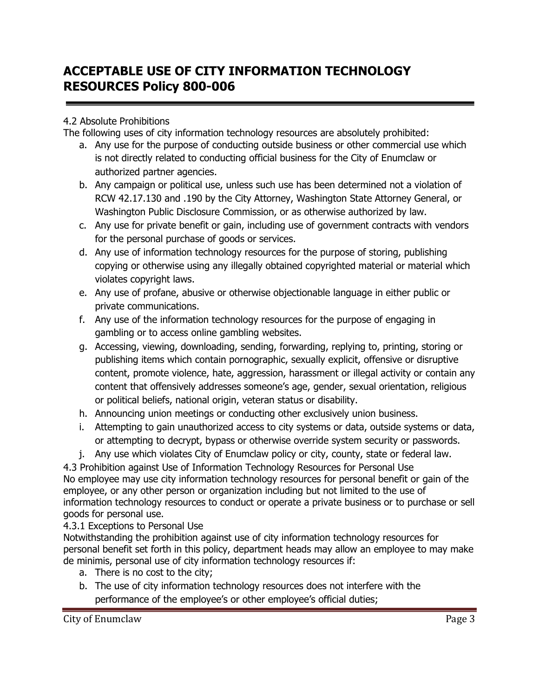# 4.2 Absolute Prohibitions

The following uses of city information technology resources are absolutely prohibited:

- a. Any use for the purpose of conducting outside business or other commercial use which is not directly related to conducting official business for the City of Enumclaw or authorized partner agencies.
- b. Any campaign or political use, unless such use has been determined not a violation of RCW 42.17.130 and .190 by the City Attorney, Washington State Attorney General, or Washington Public Disclosure Commission, or as otherwise authorized by law.
- c. Any use for private benefit or gain, including use of government contracts with vendors for the personal purchase of goods or services.
- d. Any use of information technology resources for the purpose of storing, publishing copying or otherwise using any illegally obtained copyrighted material or material which violates copyright laws.
- e. Any use of profane, abusive or otherwise objectionable language in either public or private communications.
- f. Any use of the information technology resources for the purpose of engaging in gambling or to access online gambling websites.
- g. Accessing, viewing, downloading, sending, forwarding, replying to, printing, storing or publishing items which contain pornographic, sexually explicit, offensive or disruptive content, promote violence, hate, aggression, harassment or illegal activity or contain any content that offensively addresses someone's age, gender, sexual orientation, religious or political beliefs, national origin, veteran status or disability.
- h. Announcing union meetings or conducting other exclusively union business.
- i. Attempting to gain unauthorized access to city systems or data, outside systems or data, or attempting to decrypt, bypass or otherwise override system security or passwords.
- j. Any use which violates City of Enumclaw policy or city, county, state or federal law.

4.3 Prohibition against Use of Information Technology Resources for Personal Use No employee may use city information technology resources for personal benefit or gain of the employee, or any other person or organization including but not limited to the use of information technology resources to conduct or operate a private business or to purchase or sell goods for personal use.

# 4.3.1 Exceptions to Personal Use

Notwithstanding the prohibition against use of city information technology resources for personal benefit set forth in this policy, department heads may allow an employee to may make de minimis, personal use of city information technology resources if:

- a. There is no cost to the city;
- b. The use of city information technology resources does not interfere with the performance of the employee's or other employee's official duties;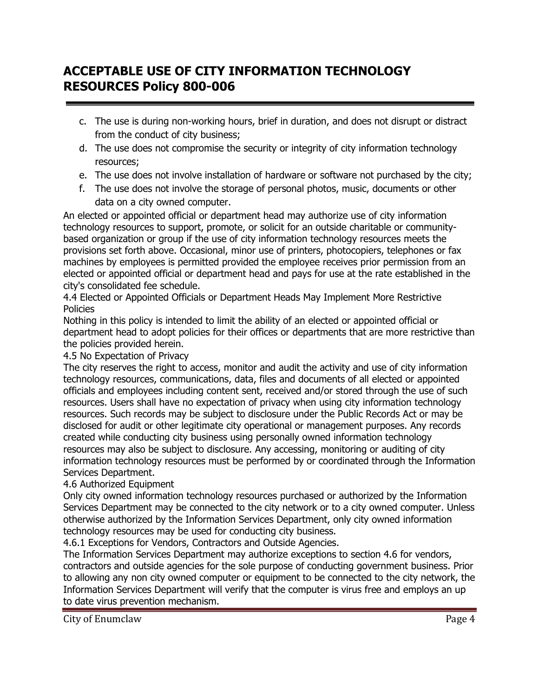- c. The use is during non-working hours, brief in duration, and does not disrupt or distract from the conduct of city business;
- d. The use does not compromise the security or integrity of city information technology resources;
- e. The use does not involve installation of hardware or software not purchased by the city;
- f. The use does not involve the storage of personal photos, music, documents or other data on a city owned computer.

An elected or appointed official or department head may authorize use of city information technology resources to support, promote, or solicit for an outside charitable or communitybased organization or group if the use of city information technology resources meets the provisions set forth above. Occasional, minor use of printers, photocopiers, telephones or fax machines by employees is permitted provided the employee receives prior permission from an elected or appointed official or department head and pays for use at the rate established in the city's consolidated fee schedule.

4.4 Elected or Appointed Officials or Department Heads May Implement More Restrictive Policies

Nothing in this policy is intended to limit the ability of an elected or appointed official or department head to adopt policies for their offices or departments that are more restrictive than the policies provided herein.

# 4.5 No Expectation of Privacy

The city reserves the right to access, monitor and audit the activity and use of city information technology resources, communications, data, files and documents of all elected or appointed officials and employees including content sent, received and/or stored through the use of such resources. Users shall have no expectation of privacy when using city information technology resources. Such records may be subject to disclosure under the Public Records Act or may be disclosed for audit or other legitimate city operational or management purposes. Any records created while conducting city business using personally owned information technology resources may also be subject to disclosure. Any accessing, monitoring or auditing of city information technology resources must be performed by or coordinated through the Information Services Department.

# 4.6 Authorized Equipment

Only city owned information technology resources purchased or authorized by the Information Services Department may be connected to the city network or to a city owned computer. Unless otherwise authorized by the Information Services Department, only city owned information technology resources may be used for conducting city business.

4.6.1 Exceptions for Vendors, Contractors and Outside Agencies.

The Information Services Department may authorize exceptions to section 4.6 for vendors, contractors and outside agencies for the sole purpose of conducting government business. Prior to allowing any non city owned computer or equipment to be connected to the city network, the Information Services Department will verify that the computer is virus free and employs an up to date virus prevention mechanism.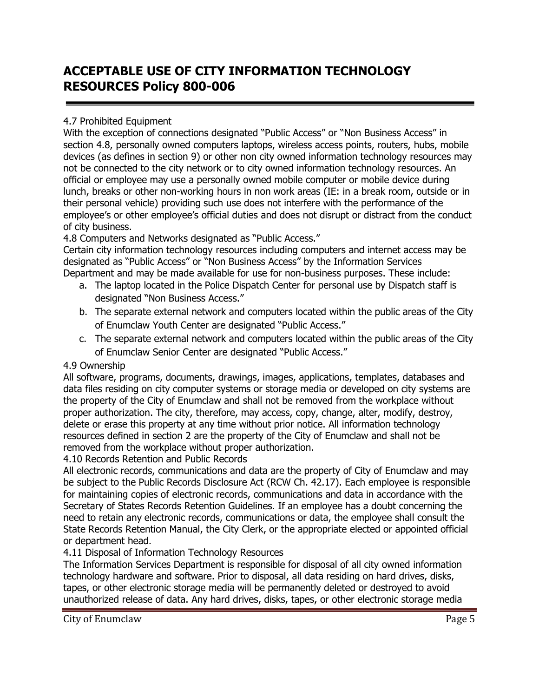# 4.7 Prohibited Equipment

With the exception of connections designated "Public Access" or "Non Business Access" in section 4.8, personally owned computers laptops, wireless access points, routers, hubs, mobile devices (as defines in section 9) or other non city owned information technology resources may not be connected to the city network or to city owned information technology resources. An official or employee may use a personally owned mobile computer or mobile device during lunch, breaks or other non-working hours in non work areas (IE: in a break room, outside or in their personal vehicle) providing such use does not interfere with the performance of the employee's or other employee's official duties and does not disrupt or distract from the conduct of city business.

4.8 Computers and Networks designated as "Public Access."

Certain city information technology resources including computers and internet access may be designated as "Public Access" or "Non Business Access" by the Information Services Department and may be made available for use for non-business purposes. These include:

- a. The laptop located in the Police Dispatch Center for personal use by Dispatch staff is designated "Non Business Access."
- b. The separate external network and computers located within the public areas of the City of Enumclaw Youth Center are designated "Public Access."
- c. The separate external network and computers located within the public areas of the City of Enumclaw Senior Center are designated "Public Access."

# 4.9 Ownership

All software, programs, documents, drawings, images, applications, templates, databases and data files residing on city computer systems or storage media or developed on city systems are the property of the City of Enumclaw and shall not be removed from the workplace without proper authorization. The city, therefore, may access, copy, change, alter, modify, destroy, delete or erase this property at any time without prior notice. All information technology resources defined in section 2 are the property of the City of Enumclaw and shall not be removed from the workplace without proper authorization.

4.10 Records Retention and Public Records

All electronic records, communications and data are the property of City of Enumclaw and may be subject to the Public Records Disclosure Act (RCW Ch. 42.17). Each employee is responsible for maintaining copies of electronic records, communications and data in accordance with the Secretary of States Records Retention Guidelines. If an employee has a doubt concerning the need to retain any electronic records, communications or data, the employee shall consult the State Records Retention Manual, the City Clerk, or the appropriate elected or appointed official or department head.

# 4.11 Disposal of Information Technology Resources

The Information Services Department is responsible for disposal of all city owned information technology hardware and software. Prior to disposal, all data residing on hard drives, disks, tapes, or other electronic storage media will be permanently deleted or destroyed to avoid unauthorized release of data. Any hard drives, disks, tapes, or other electronic storage media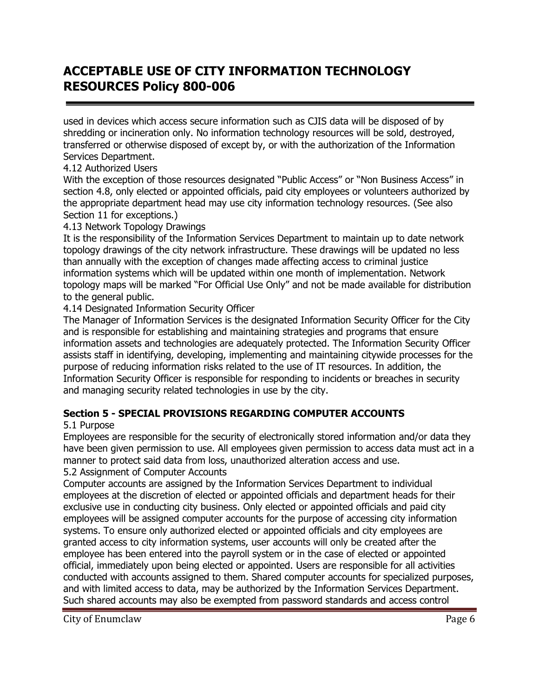used in devices which access secure information such as CJIS data will be disposed of by shredding or incineration only. No information technology resources will be sold, destroyed, transferred or otherwise disposed of except by, or with the authorization of the Information Services Department.

### 4.12 Authorized Users

With the exception of those resources designated "Public Access" or "Non Business Access" in section 4.8, only elected or appointed officials, paid city employees or volunteers authorized by the appropriate department head may use city information technology resources. (See also Section 11 for exceptions.)

## 4.13 Network Topology Drawings

It is the responsibility of the Information Services Department to maintain up to date network topology drawings of the city network infrastructure. These drawings will be updated no less than annually with the exception of changes made affecting access to criminal justice information systems which will be updated within one month of implementation. Network topology maps will be marked "For Official Use Only" and not be made available for distribution to the general public.

## 4.14 Designated Information Security Officer

The Manager of Information Services is the designated Information Security Officer for the City and is responsible for establishing and maintaining strategies and programs that ensure information assets and technologies are adequately protected. The Information Security Officer assists staff in identifying, developing, implementing and maintaining citywide processes for the purpose of reducing information risks related to the use of IT resources. In addition, the Information Security Officer is responsible for responding to incidents or breaches in security and managing security related technologies in use by the city.

# **Section 5 - SPECIAL PROVISIONS REGARDING COMPUTER ACCOUNTS**

5.1 Purpose

Employees are responsible for the security of electronically stored information and/or data they have been given permission to use. All employees given permission to access data must act in a manner to protect said data from loss, unauthorized alteration access and use.

5.2 Assignment of Computer Accounts

Computer accounts are assigned by the Information Services Department to individual employees at the discretion of elected or appointed officials and department heads for their exclusive use in conducting city business. Only elected or appointed officials and paid city employees will be assigned computer accounts for the purpose of accessing city information systems. To ensure only authorized elected or appointed officials and city employees are granted access to city information systems, user accounts will only be created after the employee has been entered into the payroll system or in the case of elected or appointed official, immediately upon being elected or appointed. Users are responsible for all activities conducted with accounts assigned to them. Shared computer accounts for specialized purposes, and with limited access to data, may be authorized by the Information Services Department. Such shared accounts may also be exempted from password standards and access control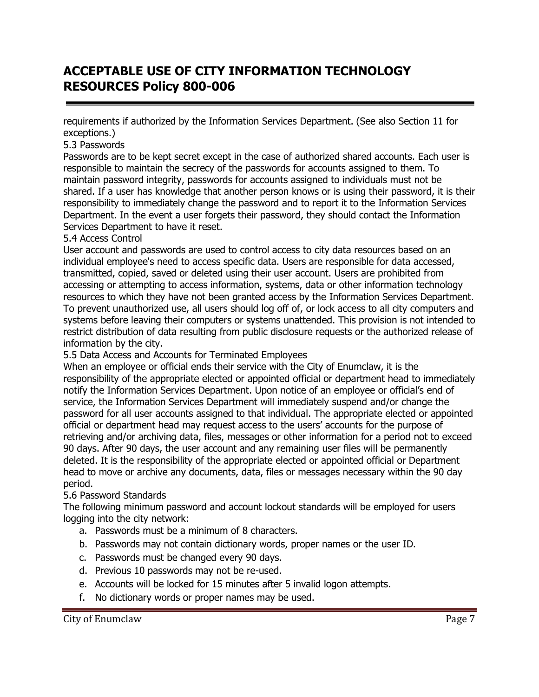requirements if authorized by the Information Services Department. (See also Section 11 for exceptions.)

### 5.3 Passwords

Passwords are to be kept secret except in the case of authorized shared accounts. Each user is responsible to maintain the secrecy of the passwords for accounts assigned to them. To maintain password integrity, passwords for accounts assigned to individuals must not be shared. If a user has knowledge that another person knows or is using their password, it is their responsibility to immediately change the password and to report it to the Information Services Department. In the event a user forgets their password, they should contact the Information Services Department to have it reset.

### 5.4 Access Control

User account and passwords are used to control access to city data resources based on an individual employee's need to access specific data. Users are responsible for data accessed, transmitted, copied, saved or deleted using their user account. Users are prohibited from accessing or attempting to access information, systems, data or other information technology resources to which they have not been granted access by the Information Services Department. To prevent unauthorized use, all users should log off of, or lock access to all city computers and systems before leaving their computers or systems unattended. This provision is not intended to restrict distribution of data resulting from public disclosure requests or the authorized release of information by the city.

5.5 Data Access and Accounts for Terminated Employees

When an employee or official ends their service with the City of Enumclaw, it is the responsibility of the appropriate elected or appointed official or department head to immediately notify the Information Services Department. Upon notice of an employee or official's end of service, the Information Services Department will immediately suspend and/or change the password for all user accounts assigned to that individual. The appropriate elected or appointed official or department head may request access to the users' accounts for the purpose of retrieving and/or archiving data, files, messages or other information for a period not to exceed 90 days. After 90 days, the user account and any remaining user files will be permanently deleted. It is the responsibility of the appropriate elected or appointed official or Department head to move or archive any documents, data, files or messages necessary within the 90 day period.

### 5.6 Password Standards

The following minimum password and account lockout standards will be employed for users logging into the city network:

- a. Passwords must be a minimum of 8 characters.
- b. Passwords may not contain dictionary words, proper names or the user ID.
- c. Passwords must be changed every 90 days.
- d. Previous 10 passwords may not be re-used.
- e. Accounts will be locked for 15 minutes after 5 invalid logon attempts.
- f. No dictionary words or proper names may be used.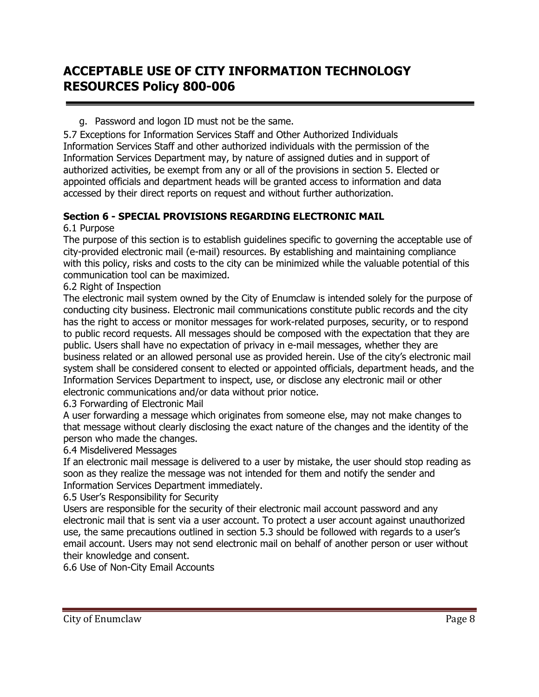### g. Password and logon ID must not be the same.

5.7 Exceptions for Information Services Staff and Other Authorized Individuals Information Services Staff and other authorized individuals with the permission of the Information Services Department may, by nature of assigned duties and in support of authorized activities, be exempt from any or all of the provisions in section 5. Elected or appointed officials and department heads will be granted access to information and data accessed by their direct reports on request and without further authorization.

# **Section 6 - SPECIAL PROVISIONS REGARDING ELECTRONIC MAIL**

### 6.1 Purpose

The purpose of this section is to establish guidelines specific to governing the acceptable use of city-provided electronic mail (e-mail) resources. By establishing and maintaining compliance with this policy, risks and costs to the city can be minimized while the valuable potential of this communication tool can be maximized.

### 6.2 Right of Inspection

The electronic mail system owned by the City of Enumclaw is intended solely for the purpose of conducting city business. Electronic mail communications constitute public records and the city has the right to access or monitor messages for work-related purposes, security, or to respond to public record requests. All messages should be composed with the expectation that they are public. Users shall have no expectation of privacy in e-mail messages, whether they are business related or an allowed personal use as provided herein. Use of the city's electronic mail system shall be considered consent to elected or appointed officials, department heads, and the Information Services Department to inspect, use, or disclose any electronic mail or other electronic communications and/or data without prior notice.

### 6.3 Forwarding of Electronic Mail

A user forwarding a message which originates from someone else, may not make changes to that message without clearly disclosing the exact nature of the changes and the identity of the person who made the changes.

### 6.4 Misdelivered Messages

If an electronic mail message is delivered to a user by mistake, the user should stop reading as soon as they realize the message was not intended for them and notify the sender and Information Services Department immediately.

6.5 User's Responsibility for Security

Users are responsible for the security of their electronic mail account password and any electronic mail that is sent via a user account. To protect a user account against unauthorized use, the same precautions outlined in section 5.3 should be followed with regards to a user's email account. Users may not send electronic mail on behalf of another person or user without their knowledge and consent.

6.6 Use of Non-City Email Accounts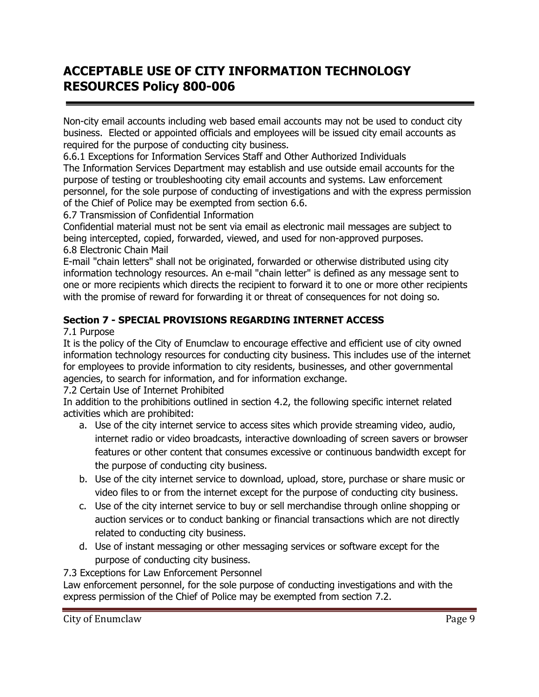Non-city email accounts including web based email accounts may not be used to conduct city business. Elected or appointed officials and employees will be issued city email accounts as required for the purpose of conducting city business.

6.6.1 Exceptions for Information Services Staff and Other Authorized Individuals The Information Services Department may establish and use outside email accounts for the purpose of testing or troubleshooting city email accounts and systems. Law enforcement personnel, for the sole purpose of conducting of investigations and with the express permission of the Chief of Police may be exempted from section 6.6.

## 6.7 Transmission of Confidential Information

Confidential material must not be sent via email as electronic mail messages are subject to being intercepted, copied, forwarded, viewed, and used for non-approved purposes. 6.8 Electronic Chain Mail

E-mail "chain letters" shall not be originated, forwarded or otherwise distributed using city information technology resources. An e-mail "chain letter" is defined as any message sent to one or more recipients which directs the recipient to forward it to one or more other recipients with the promise of reward for forwarding it or threat of consequences for not doing so.

# **Section 7 - SPECIAL PROVISIONS REGARDING INTERNET ACCESS**

## 7.1 Purpose

It is the policy of the City of Enumclaw to encourage effective and efficient use of city owned information technology resources for conducting city business. This includes use of the internet for employees to provide information to city residents, businesses, and other governmental agencies, to search for information, and for information exchange.

7.2 Certain Use of Internet Prohibited

In addition to the prohibitions outlined in section 4.2, the following specific internet related activities which are prohibited:

- a. Use of the city internet service to access sites which provide streaming video, audio, internet radio or video broadcasts, interactive downloading of screen savers or browser features or other content that consumes excessive or continuous bandwidth except for the purpose of conducting city business.
- b. Use of the city internet service to download, upload, store, purchase or share music or video files to or from the internet except for the purpose of conducting city business.
- c. Use of the city internet service to buy or sell merchandise through online shopping or auction services or to conduct banking or financial transactions which are not directly related to conducting city business.
- d. Use of instant messaging or other messaging services or software except for the purpose of conducting city business.

7.3 Exceptions for Law Enforcement Personnel

Law enforcement personnel, for the sole purpose of conducting investigations and with the express permission of the Chief of Police may be exempted from section 7.2.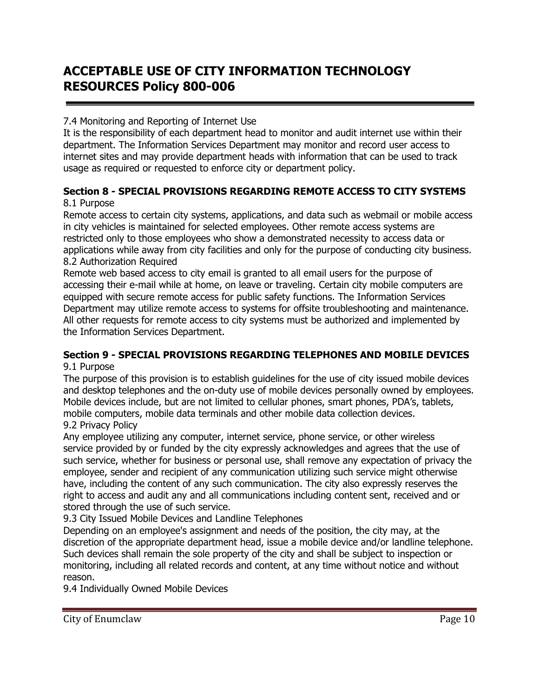## 7.4 Monitoring and Reporting of Internet Use

It is the responsibility of each department head to monitor and audit internet use within their department. The Information Services Department may monitor and record user access to internet sites and may provide department heads with information that can be used to track usage as required or requested to enforce city or department policy.

# **Section 8 - SPECIAL PROVISIONS REGARDING REMOTE ACCESS TO CITY SYSTEMS**

# 8.1 Purpose

Remote access to certain city systems, applications, and data such as webmail or mobile access in city vehicles is maintained for selected employees. Other remote access systems are restricted only to those employees who show a demonstrated necessity to access data or applications while away from city facilities and only for the purpose of conducting city business. 8.2 Authorization Required

Remote web based access to city email is granted to all email users for the purpose of accessing their e-mail while at home, on leave or traveling. Certain city mobile computers are equipped with secure remote access for public safety functions. The Information Services Department may utilize remote access to systems for offsite troubleshooting and maintenance. All other requests for remote access to city systems must be authorized and implemented by the Information Services Department.

#### **Section 9 - SPECIAL PROVISIONS REGARDING TELEPHONES AND MOBILE DEVICES** 9.1 Purpose

The purpose of this provision is to establish guidelines for the use of city issued mobile devices and desktop telephones and the on-duty use of mobile devices personally owned by employees. Mobile devices include, but are not limited to cellular phones, smart phones, PDA's, tablets, mobile computers, mobile data terminals and other mobile data collection devices.

### 9.2 Privacy Policy

Any employee utilizing any computer, internet service, phone service, or other wireless service provided by or funded by the city expressly acknowledges and agrees that the use of such service, whether for business or personal use, shall remove any expectation of privacy the employee, sender and recipient of any communication utilizing such service might otherwise have, including the content of any such communication. The city also expressly reserves the right to access and audit any and all communications including content sent, received and or stored through the use of such service.

9.3 City Issued Mobile Devices and Landline Telephones

Depending on an employee's assignment and needs of the position, the city may, at the discretion of the appropriate department head, issue a mobile device and/or landline telephone. Such devices shall remain the sole property of the city and shall be subject to inspection or monitoring, including all related records and content, at any time without notice and without reason.

9.4 Individually Owned Mobile Devices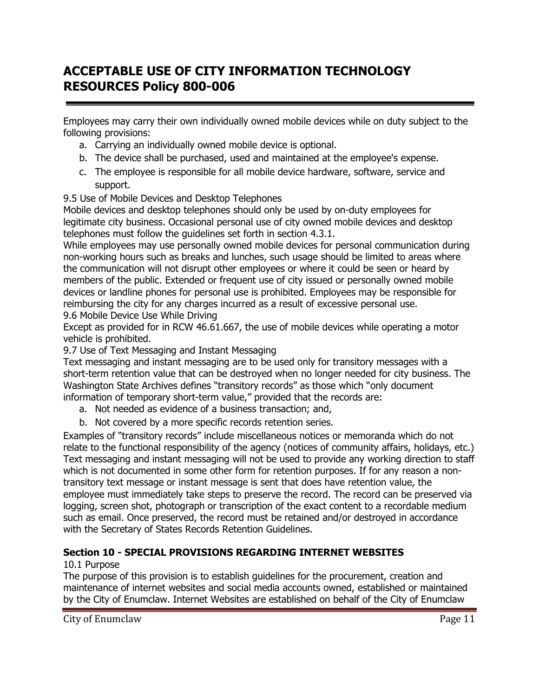Employees may carry their own individually owned mobile devices while on duty subject to the following provisions:

- a. Carrying an individually owned mobile device is optional.
- b. The device shall be purchased, used and maintained at the employee's expense.
- c. The employee is responsible for all mobile device hardware, software, service and support.
- 9.5 Use of Mobile Devices and Desktop Telephones

Mobile devices and desktop telephones should only be used by on-duty employees for legitimate city business. Occasional personal use of city owned mobile devices and desktop telephones must follow the guidelines set forth in section 4.3.1.

While employees may use personally owned mobile devices for personal communication during non-working hours such as breaks and lunches, such usage should be limited to areas where the communication will not disrupt other employees or where it could be seen or heard by members of the public. Extended or frequent use of city issued or personally owned mobile devices or landline phones for personal use is prohibited. Employees may be responsible for reimbursing the city for any charges incurred as a result of excessive personal use. 9.6 Mobile Device Use While Driving

Except as provided for in RCW 46.61.667, the use of mobile devices while operating a motor vehicle is prohibited.

9.7 Use of Text Messaging and Instant Messaging

Text messaging and instant messaging are to be used only for transitory messages with a short-term retention value that can be destroyed when no longer needed for city business. The Washington State Archives defines "transitory records" as those which "only document information of temporary short-term value," provided that the records are:

- a. Not needed as evidence of a business transaction; and,
- b. Not covered by a more specific records retention series.

Examples of "transitory records" include miscellaneous notices or memoranda which do not relate to the functional responsibility of the agency (notices of community affairs, holidays, etc.) Text messaging and instant messaging will not be used to provide any working direction to staff which is not documented in some other form for retention purposes. If for any reason a nontransitory text message or instant message is sent that does have retention value, the employee must immediately take steps to preserve the record. The record can be preserved via logging, screen shot, photograph or transcription of the exact content to a recordable medium such as email. Once preserved, the record must be retained and/or destroyed in accordance with the Secretary of States Records Retention Guidelines.

# **Section 10 - SPECIAL PROVISIONS REGARDING INTERNET WEBSITES**

# 10.1 Purpose

The purpose of this provision is to establish guidelines for the procurement, creation and maintenance of internet websites and social media accounts owned, established or maintained by the City of Enumclaw. Internet Websites are established on behalf of the City of Enumclaw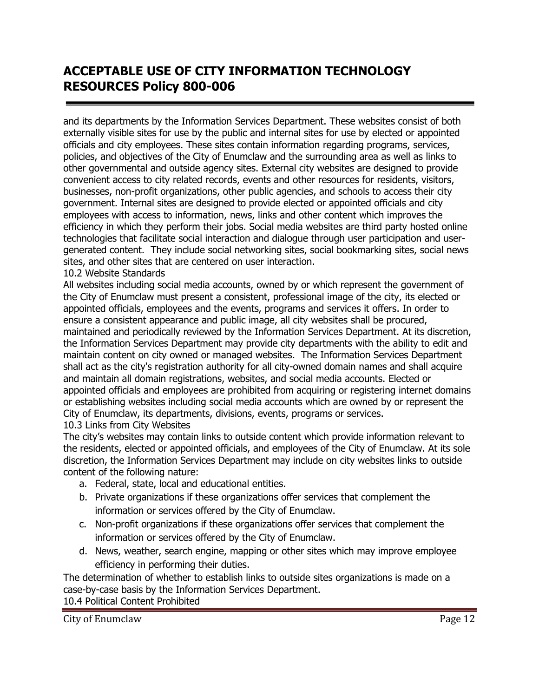and its departments by the Information Services Department. These websites consist of both externally visible sites for use by the public and internal sites for use by elected or appointed officials and city employees. These sites contain information regarding programs, services, policies, and objectives of the City of Enumclaw and the surrounding area as well as links to other governmental and outside agency sites. External city websites are designed to provide convenient access to city related records, events and other resources for residents, visitors, businesses, non-profit organizations, other public agencies, and schools to access their city government. Internal sites are designed to provide elected or appointed officials and city employees with access to information, news, links and other content which improves the efficiency in which they perform their jobs. Social media websites are third party hosted online technologies that facilitate social interaction and dialogue through user participation and usergenerated content. They include social networking sites, social bookmarking sites, social news sites, and other sites that are centered on user interaction.

### 10.2 Website Standards

All websites including social media accounts, owned by or which represent the government of the City of Enumclaw must present a consistent, professional image of the city, its elected or appointed officials, employees and the events, programs and services it offers. In order to ensure a consistent appearance and public image, all city websites shall be procured, maintained and periodically reviewed by the Information Services Department. At its discretion, the Information Services Department may provide city departments with the ability to edit and maintain content on city owned or managed websites. The Information Services Department shall act as the city's registration authority for all city-owned domain names and shall acquire and maintain all domain registrations, websites, and social media accounts. Elected or appointed officials and employees are prohibited from acquiring or registering internet domains or establishing websites including social media accounts which are owned by or represent the City of Enumclaw, its departments, divisions, events, programs or services.

### 10.3 Links from City Websites

The city's websites may contain links to outside content which provide information relevant to the residents, elected or appointed officials, and employees of the City of Enumclaw. At its sole discretion, the Information Services Department may include on city websites links to outside content of the following nature:

- a. Federal, state, local and educational entities.
- b. Private organizations if these organizations offer services that complement the information or services offered by the City of Enumclaw.
- c. Non-profit organizations if these organizations offer services that complement the information or services offered by the City of Enumclaw.
- d. News, weather, search engine, mapping or other sites which may improve employee efficiency in performing their duties.

The determination of whether to establish links to outside sites organizations is made on a case-by-case basis by the Information Services Department. 10.4 Political Content Prohibited

City of Enumclaw **Page 12**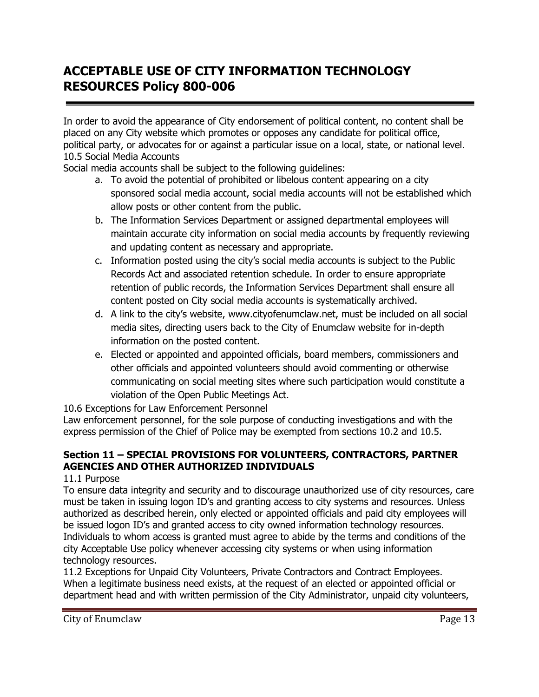In order to avoid the appearance of City endorsement of political content, no content shall be placed on any City website which promotes or opposes any candidate for political office, political party, or advocates for or against a particular issue on a local, state, or national level. 10.5 Social Media Accounts

Social media accounts shall be subject to the following guidelines:

- a. To avoid the potential of prohibited or libelous content appearing on a city sponsored social media account, social media accounts will not be established which allow posts or other content from the public.
- b. The Information Services Department or assigned departmental employees will maintain accurate city information on social media accounts by frequently reviewing and updating content as necessary and appropriate.
- c. Information posted using the city's social media accounts is subject to the Public Records Act and associated retention schedule. In order to ensure appropriate retention of public records, the Information Services Department shall ensure all content posted on City social media accounts is systematically archived.
- d. A link to the city's website, www.cityofenumclaw.net, must be included on all social media sites, directing users back to the City of Enumclaw website for in-depth information on the posted content.
- e. Elected or appointed and appointed officials, board members, commissioners and other officials and appointed volunteers should avoid commenting or otherwise communicating on social meeting sites where such participation would constitute a violation of the Open Public Meetings Act.

10.6 Exceptions for Law Enforcement Personnel

Law enforcement personnel, for the sole purpose of conducting investigations and with the express permission of the Chief of Police may be exempted from sections 10.2 and 10.5.

# **Section 11 – SPECIAL PROVISIONS FOR VOLUNTEERS, CONTRACTORS, PARTNER AGENCIES AND OTHER AUTHORIZED INDIVIDUALS**

11.1 Purpose

To ensure data integrity and security and to discourage unauthorized use of city resources, care must be taken in issuing logon ID's and granting access to city systems and resources. Unless authorized as described herein, only elected or appointed officials and paid city employees will be issued logon ID's and granted access to city owned information technology resources. Individuals to whom access is granted must agree to abide by the terms and conditions of the city Acceptable Use policy whenever accessing city systems or when using information technology resources.

11.2 Exceptions for Unpaid City Volunteers, Private Contractors and Contract Employees. When a legitimate business need exists, at the request of an elected or appointed official or department head and with written permission of the City Administrator, unpaid city volunteers,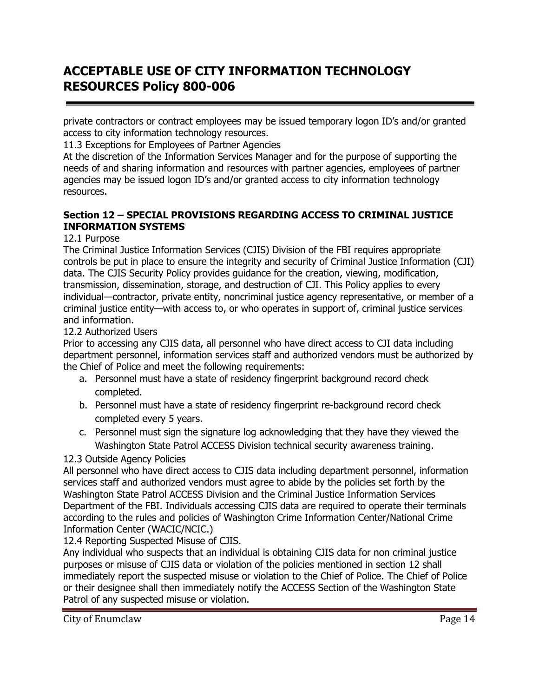private contractors or contract employees may be issued temporary logon ID's and/or granted access to city information technology resources.

11.3 Exceptions for Employees of Partner Agencies

At the discretion of the Information Services Manager and for the purpose of supporting the needs of and sharing information and resources with partner agencies, employees of partner agencies may be issued logon ID's and/or granted access to city information technology resources.

# **Section 12 – SPECIAL PROVISIONS REGARDING ACCESS TO CRIMINAL JUSTICE INFORMATION SYSTEMS**

# 12.1 Purpose

The Criminal Justice Information Services (CJIS) Division of the FBI requires appropriate controls be put in place to ensure the integrity and security of Criminal Justice Information (CJI) data. The CJIS Security Policy provides guidance for the creation, viewing, modification, transmission, dissemination, storage, and destruction of CJI. This Policy applies to every individual—contractor, private entity, noncriminal justice agency representative, or member of a criminal justice entity—with access to, or who operates in support of, criminal justice services and information.

## 12.2 Authorized Users

Prior to accessing any CJIS data, all personnel who have direct access to CJI data including department personnel, information services staff and authorized vendors must be authorized by the Chief of Police and meet the following requirements:

- a. Personnel must have a state of residency fingerprint background record check completed.
- b. Personnel must have a state of residency fingerprint re-background record check completed every 5 years.
- c. Personnel must sign the signature log acknowledging that they have they viewed the Washington State Patrol ACCESS Division technical security awareness training.
- 12.3 Outside Agency Policies

All personnel who have direct access to CJIS data including department personnel, information services staff and authorized vendors must agree to abide by the policies set forth by the Washington State Patrol ACCESS Division and the Criminal Justice Information Services Department of the FBI. Individuals accessing CJIS data are required to operate their terminals according to the rules and policies of Washington Crime Information Center/National Crime Information Center (WACIC/NCIC.)

12.4 Reporting Suspected Misuse of CJIS.

Any individual who suspects that an individual is obtaining CJIS data for non criminal justice purposes or misuse of CJIS data or violation of the policies mentioned in section 12 shall immediately report the suspected misuse or violation to the Chief of Police. The Chief of Police or their designee shall then immediately notify the ACCESS Section of the Washington State Patrol of any suspected misuse or violation.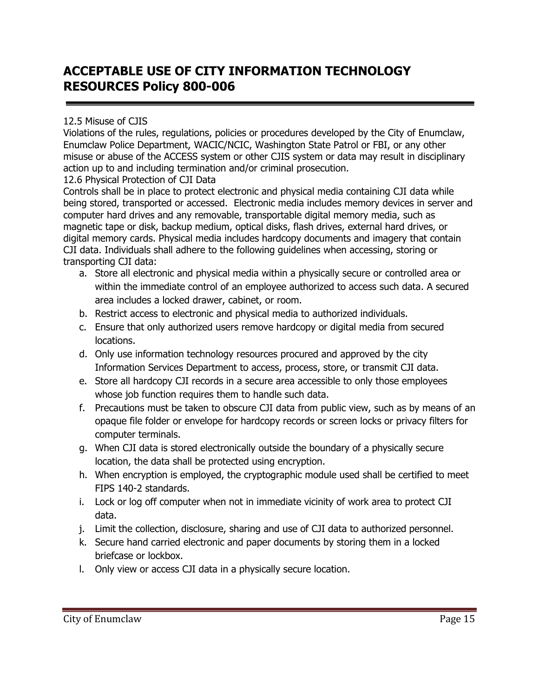## 12.5 Misuse of CJIS

Violations of the rules, regulations, policies or procedures developed by the City of Enumclaw, Enumclaw Police Department, WACIC/NCIC, Washington State Patrol or FBI, or any other misuse or abuse of the ACCESS system or other CJIS system or data may result in disciplinary action up to and including termination and/or criminal prosecution.

## 12.6 Physical Protection of CJI Data

Controls shall be in place to protect electronic and physical media containing CJI data while being stored, transported or accessed. Electronic media includes memory devices in server and computer hard drives and any removable, transportable digital memory media, such as magnetic tape or disk, backup medium, optical disks, flash drives, external hard drives, or digital memory cards. Physical media includes hardcopy documents and imagery that contain CJI data. Individuals shall adhere to the following guidelines when accessing, storing or transporting CJI data:

- a. Store all electronic and physical media within a physically secure or controlled area or within the immediate control of an employee authorized to access such data. A secured area includes a locked drawer, cabinet, or room.
- b. Restrict access to electronic and physical media to authorized individuals.
- c. Ensure that only authorized users remove hardcopy or digital media from secured locations.
- d. Only use information technology resources procured and approved by the city Information Services Department to access, process, store, or transmit CJI data.
- e. Store all hardcopy CJI records in a secure area accessible to only those employees whose job function requires them to handle such data.
- f. Precautions must be taken to obscure CJI data from public view, such as by means of an opaque file folder or envelope for hardcopy records or screen locks or privacy filters for computer terminals.
- g. When CJI data is stored electronically outside the boundary of a physically secure location, the data shall be protected using encryption.
- h. When encryption is employed, the cryptographic module used shall be certified to meet FIPS 140-2 standards.
- i. Lock or log off computer when not in immediate vicinity of work area to protect CJI data.
- j. Limit the collection, disclosure, sharing and use of CJI data to authorized personnel.
- k. Secure hand carried electronic and paper documents by storing them in a locked briefcase or lockbox.
- l. Only view or access CJI data in a physically secure location.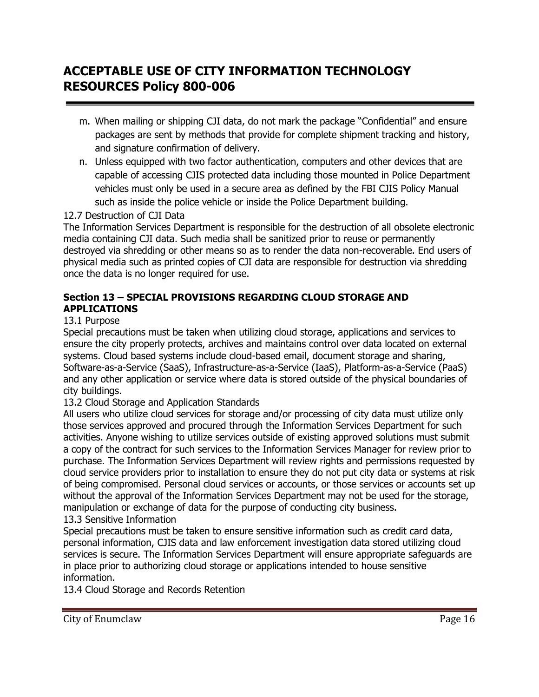- m. When mailing or shipping CJI data, do not mark the package "Confidential" and ensure packages are sent by methods that provide for complete shipment tracking and history, and signature confirmation of delivery.
- n. Unless equipped with two factor authentication, computers and other devices that are capable of accessing CJIS protected data including those mounted in Police Department vehicles must only be used in a secure area as defined by the FBI CJIS Policy Manual such as inside the police vehicle or inside the Police Department building.

# 12.7 Destruction of CJI Data

The Information Services Department is responsible for the destruction of all obsolete electronic media containing CJI data. Such media shall be sanitized prior to reuse or permanently destroyed via shredding or other means so as to render the data non-recoverable. End users of physical media such as printed copies of CJI data are responsible for destruction via shredding once the data is no longer required for use.

## **Section 13 – SPECIAL PROVISIONS REGARDING CLOUD STORAGE AND APPLICATIONS**

## 13.1 Purpose

Special precautions must be taken when utilizing cloud storage, applications and services to ensure the city properly protects, archives and maintains control over data located on external systems. Cloud based systems include cloud-based email, document storage and sharing, Software-as-a-Service (SaaS), Infrastructure-as-a-Service (IaaS), Platform-as-a-Service (PaaS) and any other application or service where data is stored outside of the physical boundaries of city buildings.

### 13.2 Cloud Storage and Application Standards

All users who utilize cloud services for storage and/or processing of city data must utilize only those services approved and procured through the Information Services Department for such activities. Anyone wishing to utilize services outside of existing approved solutions must submit a copy of the contract for such services to the Information Services Manager for review prior to purchase. The Information Services Department will review rights and permissions requested by cloud service providers prior to installation to ensure they do not put city data or systems at risk of being compromised. Personal cloud services or accounts, or those services or accounts set up without the approval of the Information Services Department may not be used for the storage, manipulation or exchange of data for the purpose of conducting city business.

# 13.3 Sensitive Information

Special precautions must be taken to ensure sensitive information such as credit card data, personal information, CJIS data and law enforcement investigation data stored utilizing cloud services is secure. The Information Services Department will ensure appropriate safeguards are in place prior to authorizing cloud storage or applications intended to house sensitive information.

13.4 Cloud Storage and Records Retention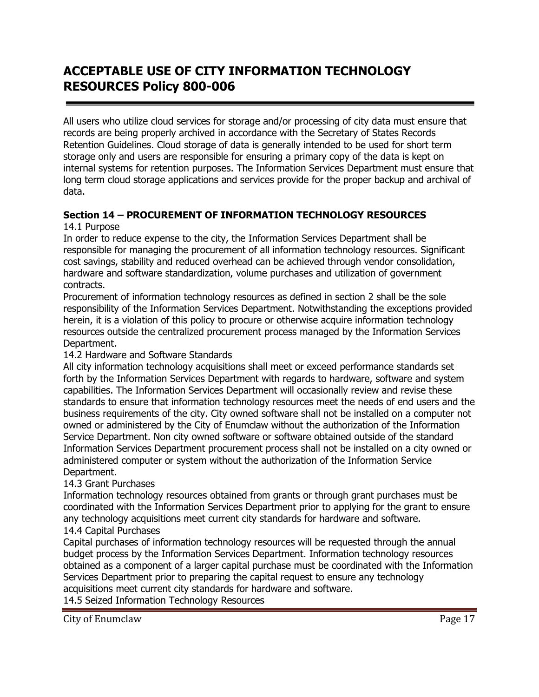All users who utilize cloud services for storage and/or processing of city data must ensure that records are being properly archived in accordance with the Secretary of States Records Retention Guidelines. Cloud storage of data is generally intended to be used for short term storage only and users are responsible for ensuring a primary copy of the data is kept on internal systems for retention purposes. The Information Services Department must ensure that long term cloud storage applications and services provide for the proper backup and archival of data.

# **Section 14 – PROCUREMENT OF INFORMATION TECHNOLOGY RESOURCES**

### 14.1 Purpose

In order to reduce expense to the city, the Information Services Department shall be responsible for managing the procurement of all information technology resources. Significant cost savings, stability and reduced overhead can be achieved through vendor consolidation, hardware and software standardization, volume purchases and utilization of government contracts.

Procurement of information technology resources as defined in section 2 shall be the sole responsibility of the Information Services Department. Notwithstanding the exceptions provided herein, it is a violation of this policy to procure or otherwise acquire information technology resources outside the centralized procurement process managed by the Information Services Department.

# 14.2 Hardware and Software Standards

All city information technology acquisitions shall meet or exceed performance standards set forth by the Information Services Department with regards to hardware, software and system capabilities. The Information Services Department will occasionally review and revise these standards to ensure that information technology resources meet the needs of end users and the business requirements of the city. City owned software shall not be installed on a computer not owned or administered by the City of Enumclaw without the authorization of the Information Service Department. Non city owned software or software obtained outside of the standard Information Services Department procurement process shall not be installed on a city owned or administered computer or system without the authorization of the Information Service Department.

# 14.3 Grant Purchases

Information technology resources obtained from grants or through grant purchases must be coordinated with the Information Services Department prior to applying for the grant to ensure any technology acquisitions meet current city standards for hardware and software. 14.4 Capital Purchases

Capital purchases of information technology resources will be requested through the annual budget process by the Information Services Department. Information technology resources obtained as a component of a larger capital purchase must be coordinated with the Information Services Department prior to preparing the capital request to ensure any technology acquisitions meet current city standards for hardware and software.

14.5 Seized Information Technology Resources

City of Enumclaw Page 17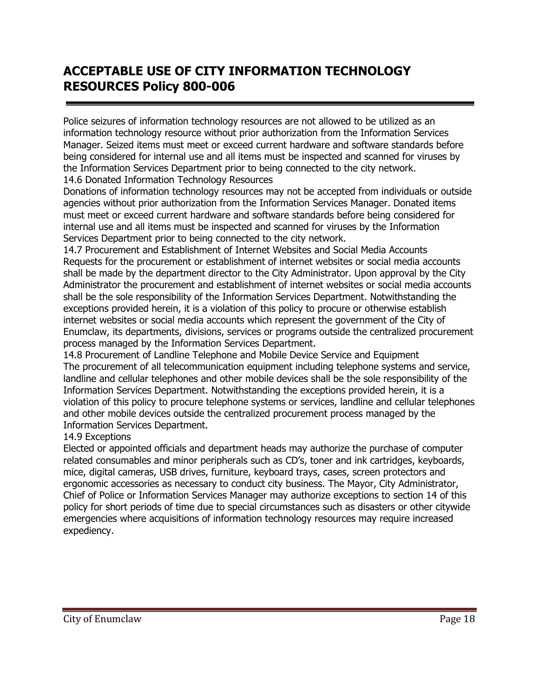Police seizures of information technology resources are not allowed to be utilized as an information technology resource without prior authorization from the Information Services Manager. Seized items must meet or exceed current hardware and software standards before being considered for internal use and all items must be inspected and scanned for viruses by the Information Services Department prior to being connected to the city network. 14.6 Donated Information Technology Resources

Donations of information technology resources may not be accepted from individuals or outside agencies without prior authorization from the Information Services Manager. Donated items must meet or exceed current hardware and software standards before being considered for internal use and all items must be inspected and scanned for viruses by the Information Services Department prior to being connected to the city network.

14.7 Procurement and Establishment of Internet Websites and Social Media Accounts Requests for the procurement or establishment of internet websites or social media accounts shall be made by the department director to the City Administrator. Upon approval by the City Administrator the procurement and establishment of internet websites or social media accounts shall be the sole responsibility of the Information Services Department. Notwithstanding the exceptions provided herein, it is a violation of this policy to procure or otherwise establish internet websites or social media accounts which represent the government of the City of Enumclaw, its departments, divisions, services or programs outside the centralized procurement process managed by the Information Services Department.

14.8 Procurement of Landline Telephone and Mobile Device Service and Equipment The procurement of all telecommunication equipment including telephone systems and service, landline and cellular telephones and other mobile devices shall be the sole responsibility of the Information Services Department. Notwithstanding the exceptions provided herein, it is a violation of this policy to procure telephone systems or services, landline and cellular telephones and other mobile devices outside the centralized procurement process managed by the Information Services Department.

# 14.9 Exceptions

Elected or appointed officials and department heads may authorize the purchase of computer related consumables and minor peripherals such as CD's, toner and ink cartridges, keyboards, mice, digital cameras, USB drives, furniture, keyboard trays, cases, screen protectors and ergonomic accessories as necessary to conduct city business. The Mayor, City Administrator, Chief of Police or Information Services Manager may authorize exceptions to section 14 of this policy for short periods of time due to special circumstances such as disasters or other citywide emergencies where acquisitions of information technology resources may require increased expediency.